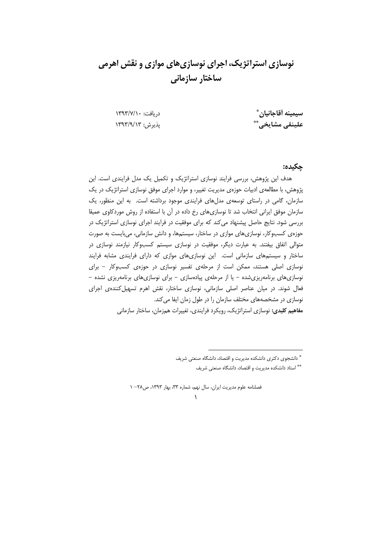# نوسازی استراتژیک، اجرای نوسازیهای موازی و نقش اهرمی ساختار سازمانی

دريافت: ١٣٩٣/٧/١٠ پذیرش: ۱۳۹۳/۹/۱۳

سيمينه أقاجانيان ٌ علينقي مشايخي\*\*

## چکیده:

هدف این پژوهش، بررسی فرایند نوسازی استراتژیک و تکمیل یک مدل فرایندی است. این پژوهش، با مطالعهی ادبیات حوزهی مدیریت تغییر، و موارد اجرای موفق نوسازی استراتژیک در یک سازمان، گامی در راستای توسعهی مدل های فرایندی موجود برداشته است. به این منظور، یک سازمان موفق ایرانی انتخاب شد تا نوسازی های رخ داده در آن با استفاده از روش موردکاوی عمیقا بررسی شود. نتایج حاصل پیشنهاد میکند که برای موفقیت در فرایند اجرای نوسازی استراتژیک در حوزه ی کسب وکار، نوسازی های موازی در ساختار، سیستمها، و دانش سازمانی، می بایست به صورت متوالی اتفاق بیفتند. به عبارت دیگر، موفقیت در نوسازی سیستم کسبوکار نیازمند نوسازی در ساختار و سیستمهای سازمانی است. این نوسازیهای موازی که دارای فرایندی مشابه فرایند نوسازی اصلی هستند، ممکن است از مرحلهی تفسیر نوسازی در حوزهی کسبوکار - برای نوسازی های برنامهریزی شده – یا از مرحلهی پیادهسازی – برای نوسازی های برنامهریزی نشده – فعال شوند. در میان عناصر اصلی سازمانی، نوسازی ساختار، نقش اهرم تسهیل کنندهی اجرای نوسازی در مشخصههای مختلف سازمان را در طول زمان ایفا می کند. مفاهیم کلیدی: نوسازی استراتژیک، رویکرد فرایندی، تغییرات همزمان، ساختار سازمانی

 $\lambda$ 

<sup>\*</sup> دانشجوی دکتری دانشکده مدیریت و اقتصاد، دانشگاه صنعتی شریف

<sup>\*\*</sup> استاد دانشکده مدیریت و اقتصاد، دانشگاه صنعتی شریف

فصلنامه علوم مديريت ايران، سال نهم، شماره ٣٣، بهار ١٣٩٣، ص٢٨- ١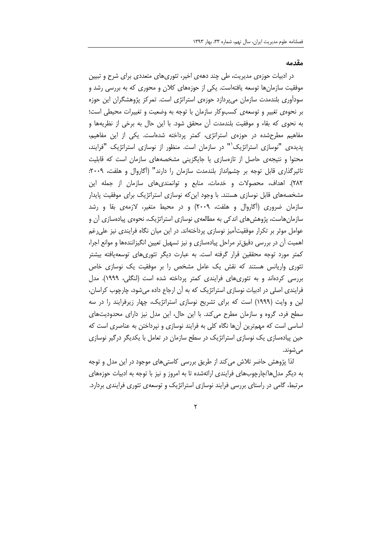#### مقدمه

در ادبیات حوزهی مدیریت، طی چند دههی اخیر، تئوریهای متعددی برای شرح و تبیین موفقیت سازمانها توسعه یافتهاست. یکی از حوزههای کلان و محوری که به بررسی رشد و سودآوری بلندمدت سازمان می پردازد حوزهی استراتژی است. تمرکز پژوهشگران این حوزه بر نحوهی تغییر و توسعهی کسبوکار سازمان با توجه به وضعیت و تغییرات محیطی است؛ به نحوی که بقاء و موفقیت بلندمدت آن محقق شود. با این حال به برخی از نظریهها و مفاهیم مطرحشده در حوزهی استراتژی، کمتر پرداخته شدهاست. یکی از این مفاهیم، پدیدهی "نوسازی استراتژیک'" در سازمان است. منظور از نوسازی استراتژیک "فرایند، محتوا و نتیجهی حاصل از تازهسازی یا جایگزینی مشخصههای سازمان است که قابلیت تاثیر گذاری قابل توجه بر چشمانداز بلندمدت سازمان را دارند" (أگاروال و هلفت، ۲۰۰۹: ٢٨٢). اهداف، محصولات و خدمات، منابع و توانمندیِهای سازمان از جمله این مشخصههای قابل نوسازی هستند. با وجود این که نوسازی استراتژیک برای موفقیت پایدار سازمان ضروری (آگاروال و هلفت، ۲۰۰۹) و در محیط متغیر، لازمهی بقا و رشد سازمانهاست، پژوهشهای اندکی به مطالعهی نوسازی استراتژیک، نحوهی پیادهسازی آن و عوامل موثر بر تکرار موفقیتآمیز نوسازی پرداختهاند. در این میان نگاه فرایندی نیز علی غم اهمیت آن در بررسی دقیق تر مراحل پیادهسازی و نیز تسهیل تعیین انگیزانندهها و موانع اجرا، کمتر مورد توجه محققین قرار گرفته است. به عبارت دیگر تئوریهای توسعهیافته بیشتر تئوری واریانس هستند که نقش یک عامل مشخص را بر موفقیت یک نوسازی خاص بررسی کردهاند و به تئوری های فرایندی کمتر پرداخته شده است (لنگلی، ۱۹۹۹). مدل فرایندی اصلی در ادبیات نوسازی استراتژیک که به آن ارجاع داده میشود، چارچوب کراسان، لین و وایت (۱۹۹۹) است که برای تشریح نوسازی استراتژیک، چهار زیرفرایند را در سه سطح فرد، گروه و سازمان مطرح می کند. با این حال، این مدل نیز دارای محدودیتهای اساسی است که مهمترین آنها نگاه کلی به فرایند نوسازی و نپرداختن به عناصری است که حین پیادهسازی یک نوسازی استراتژیک در سطح سازمان در تعامل با یکدیگر درگیر نوسازی مے شوند.

لذا پژوهش حاضر تلاش می کند از طریق بررسی کاستی های موجود در این مدل و توجه به دیگر مدلها/چارچوبهای فرایندی ارائهشده تا به امروز و نیز با توجه به ادبیات حوزههای مرتبط، گامی در راستای بررسی فرایند نوسازی استراتژیک و توسعهی تئوری فرایندی بردارد.

 $\mathsf{r}$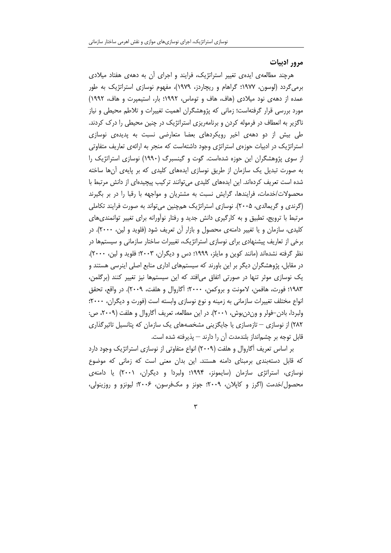مرور ادبیات

هرچند مطالعهی ایدهی تغییر استراتژیک، فرایند و اجرای آن به دههی هفتاد میلادی برمی گردد (لوسون، ۱۹۷۷؛ گراهام و ریچاردز، ۱۹۷۹)، مفهوم نوسازی استراتژیک به طور عمده از دههی نود میلادی (هاف، هاف و توماس، ۱۹۹۲؛ بار، استیمپرت و هاف، ۱۹۹۲) مورد بررسی قرار گرفتهاست؛ زمانی که پژوهشگران اهمیت تغییرات و تلاطم محیطی و نیاز ناگزیر به انعطاف در فرموله کردن و برنامهریزی استراتژیک در چنین محیطی را درک کردند. طی بیش از دو دههی اخیر رویکردهای بعضا متعارضی نسبت به پدیدهی نوسازی استراتژیک در ادبیات حوزهی استراتژی وجود داشتهاست که منجر به ارائهی تعاریف متفاوتی از سوی پژوهشگران این حوزه شدهاست. گوت و گینسبرگ (۱۹۹۰) نوسازی استراتژیک را به صورت تبدیل یک سازمان از طریق نوسازی ایدههای کلیدی که بر پایهی آنها ساخته شده است تعریف کردهاند. این ایدههای کلیدی میتوانند ترکیب پیچیدهای از دانش مرتبط با محصولات/خدمات، فرایندها، گرایش نسبت به مشتریان و مواجهه با رقبا را در بر بگیرند (گرندی و گریمالدی، ۲۰۰۵). نوسازی استراتژیک همچنین می تواند به صورت فرایند تکاملی مرتبط با ترویج، تطبیق و به کارگیری دانش جدید و رفتار نواورانه برای تغییر توانمندیهای کلیدی، سازمان و یا تغییر دامنهی محصول و بازار آن تعریف شود (فلوید و لین، ۲۰۰۰). در برخی از تعاریف پیشنهادی برای نوسازی استراتژیک، تغییرات ساختار سازمانی و سیستمها در نظر گرفته نشدهاند (مانند کوین و مایلز، ۱۹۹۹؛ دس و دیگران، ۲۰۰۳؛ فلوید و لین، ۲۰۰۰). در مقابل، پژوهشگران دیگر بر این باورند که سیستمهای اداری منابع اصلی اینرسی هستند و یک نوسازی موثر تنها در صورتی اتفاق می|فتد که این سیستمها نیز تغییر کنند (برگلمن، ١٩٨٣؛ فورت، هافمن، لامونت و بروكمن، ٢٠٠٠؛ أَكَاروال و هلفت، ٢٠٠٩). در واقع، تحقق انواع مختلف تغییرات سازمانی به زمینه و نوع نوسازی وابسته است (فورت و دیگران، ۲۰۰۰؛ ولبردا، بادن–فولر و ون دنبوش، ۲۰۰۱). در این مطالعه، تعریف اَگاروال و هلفت (۲۰۰۹، ص: ۲۸۲) از نوسازی — تازەسازی یا جایگزینی مشخصههای یک سازمان که پتانسیل تاثیرگذاری قابل توجه بر چشمانداز بلندمدت آن را دارند — پذیرفته شده است.

بر اساس تعریف آگاروال و هلفت (۲۰۰۹) انواع متفاوتی از نوسازی استراتژیک وجود دارد که قابل دستهبندی برمبنای دامنه هستند. این بدان معنی است که زمانی که موضوع نوسازی، استراتژی سازمان (سایمونز، ۱۹۹۴؛ ولبردا و دیگران، ۲۰۰۱) یا دامنهی محصول/خدمت (اگرز و کاپلان، ۲۰۰۹؛ جونز و مکفرسون، ۲۰۰۶؛ لیونزو و روزینولی،

٣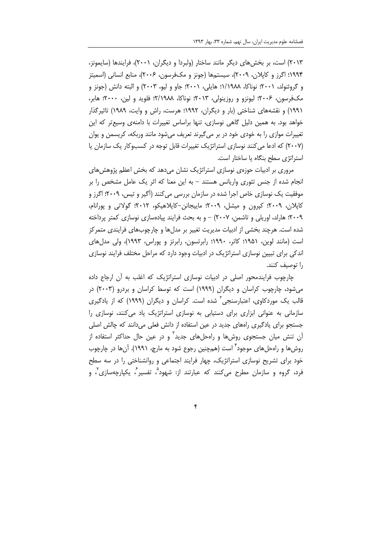۲۰۱۳) است، بر بخش های دیگر مانند ساختار (ولبردا و دیگران، ۲۰۰۱)، فرایندها (سایمونز، ۱۹۹۴؛ اگرز و کایلان، ۲۰۰۹)، سیستمها (جونز و مکفرسون، ۲۰۰۶)، منابع انسانی (اسمیتز و گروئنولد، ۲۰۰۱؛ نوناکا، ۱/۱۹۸۸؛ هایلی، ۲۰۰۱؛ جاو و لیو، ۲۰۰۳) و البته دانش (جونز و مکفرسون، ۲۰۰۶؛ لیونزو و روزینولی، ۲۰۱۳؛ نوناکا، ۲/۱۹۸۸؛ فلوید و لین، ۲۰۰۰؛ هابر، ۱۹۹۱) و نقشههای شناختی (بار و دیگران، ۱۹۹۲؛ هرست، راش و وایت، ۱۹۸۹) تاثیرگذار خواهد بود. به همین دلیل گاهی نوسازی، تنها براساس تغییرات با دامنهی وسیعتر که این تغییرات موازی را به خودی خود در بر می گیرند تعریف می شود مانند وربکه، کریسمن و یوان (۲۰۰۷) که ادعا می کنند نوسازی استراتژیک تغییرات قابل توجه در کسبوکار یک سازمان یا استراتژی سطح بنگاه یا ساختار است.

مروری بر ادبیات حوزهی نوسازی استراتژیک نشان میدهد که بخش اعظم پژوهش های انجام شده از جنس تئوری واریانس هستند – به این معنا که اثر یک عامل مشخص را بر موفقیت یک نوسازی خاص اجرا شده در سازمان بررسی می کنند (اَگیر و تیس، ۲۰۰۹؛ اگرز و کاپلان، ۲۰۰۹؛ کپرون و میشل، ۲۰۰۹؛ ماییجانن–کاپلاهیکو، ۲۰۱۲؛ گولاتی و پورانام، ۲۰۰۹؛ هارلد، اوریلی و تاشمن، ۲۰۰۷) – و به بحث فرایند پیادهسازی نوسازی کمتر پرداخته شده است. هرچند بخشی از ادبیات مدیریت تغییر بر مدلها و چارچوبهای فرایندی متمرکز است (مانند لوین، ۱۹۵۱؛ کاتر، ۱۹۹۰؛ رابرتسون، رابرتز و پوراس، ۱۹۹۳)، ولی مدل های اندکی برای تبیین نوسازی استراتژیک در ادبیات وجود دارد که مراحل مختلف فرایند نوسازی را توصيف كنند.

چارچوب فرایندمحور اصلی در ادبیات نوسازی استراتژیک که اغلب به آن ارجاع داده میشود، چارچوب کراسان و دیگران (۱۹۹۹) است که توسط کراسان و بردرو (۲۰۰۳) در قالب یک موردکاوی، اعتبارسنجی شده است. کراسان و دیگران (۱۹۹۹) که از یادگیری سازمانی به عنوانی ابزاری برای دستیابی به نوسازی استراتژیک یاد می کنند، نوسازی را جستجو برای یادگیری راههای جدید در عین استفاده از دانش فعلی میدانند که چالش اصلی آن تنش میان جستجوی روشها و رامحلهای جدید<sup>۳</sup> و در عین حال حداکثر استفاده از روشها و رامحلهای موجود ٌ است (همچنین رجوع شود به مارچ، ۱۹۹۱). آنها در چارچوب خود برای تشریح نوسازی استراتژیک، چهار فرایند اجتماعی و روانشناختی را در سه سطح فرد، گروه و سازمان مطرح میکنند که عبارتند از: شهود ؓ، تفسیر ؒ، یکپارچهسازی ؒ، و

۴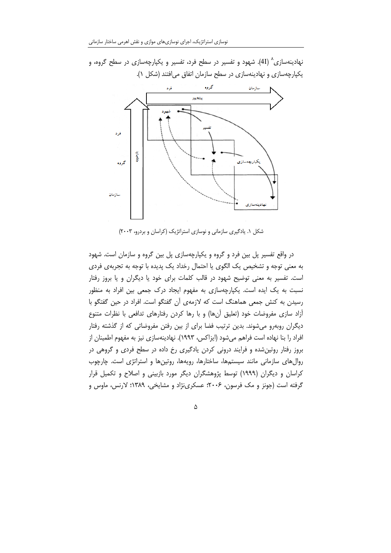

نهادینهسازی<sup>۸</sup> (41). شهود و تفسیر در سطح فرد، تفسیر و یکپارچهسازی در سطح گروه، و یکپارچهسازی و نهادینهسازی در سطح سازمان اتفاق می افتند (شکل ۱).

شکل ۱. یادگیری سازمانی و نوسازی استراتژیک (کراسان و بردرو، ۲۰۰۳)

در واقع تفسیر پل بین فرد و گروه و یکپارچهسازی پل بین گروه و سازمان است. شهود به معنی توجه و تشخیص یک الگوی یا احتمال رخداد یک پدیده با توجه به تجربهی فردی است. تفسیر به معنی توضیح شهود در قالب کلمات برای خود یا دیگران و یا بروز رفتار نسبت به یک ایده است. یکپارچهسازی به مفهوم ایجاد درک جمعی بین افراد به منظور رسیدن به کنش جمعی هماهنگ است که لازمهی آن گفتگو است. افراد در حین گفتگو با آزاد سازی مفروضات خود (تعلیق آنها) و با رها کردن رفتارهای تدافعی با نظرات متنوع دیگران روبهرو میشوند. بدین ترتیب فضا برای از بین رفتن مفروضاتی که از گذشته رفتار افراد را بنا نهاده است فراهم میشود (ایزاکس، ۱۹۹۳). نهادینهسازی نیز به مفهوم اطمینان از بروز رفتار روتین شده و فرایند درونی کردن یادگیری رخ داده در سطح فردی و گروهی در روال های سازمانی مانند سیستمها، ساختارها، رویهها، روتین ها و استراتژی است. چارچوب کراسان و دیگران (۱۹۹۹) توسط پژوهشگران دیگر مورد بازبینی و اصلاح و تکمیل قرار گرفته است (جونز و مک فرسون، ۲۰۰۶؛ عسکریiژاد و مشایخی، ۱۳۸۹؛ لارنس، ماوس و

 $\Delta$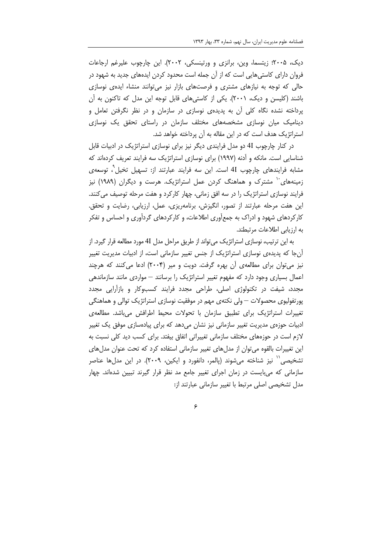دیک، ۲۰۰۵؛ زیتسما، وین، برانزی و ورتینسکی، ۲۰۰۲). این چارچوب علیرغم ارجاعات فروان دارای کاستی.هایی است که از آن جمله است محدود کردن ایدههای جدید به شهود در حالی که توجه به نیازهای مشتری و فرصتهای بازار نیز میتوانند منشاء ایدهی نوسازی باشند (کلیسن و دیک، ۲۰۰۱). یکی از کاستی های قابل توجه این مدل که تاکنون به آن پرداخته نشده نگاه کلی آن به پدیدهی نوسازی در سازمان و در نظر نگرفتن تعامل و دینامیک میان نوسازی مشخصههای مختلف سازمان در راستای تحقق یک نوسازی استراتژیک هدف است که در این مقاله به آن پرداخته خواهد شد.

در کنار چارچوب 4I دو مدل فرایندی دیگر نیز برای نوسازی استراتژیک در ادبیات قابل شناسایی است. مانکه و آدنه (۱۹۹۷) برای نوسازی استراتژیک سه فرایند تعریف کردهاند که مشابه فرایندهای چارچوب 4I است. این سه فرایند عبارتند از: تسهیل تخیل<sup>י</sup>، توسعهی زمینههای<sup>۱۰</sup> مشترک و هماهنگ کردن عمل استراتژیک. هرست و دیگران (۱۹۸۹) نیز فرایند نوسازی استراتژیک را در سه افق زمانی، چهار کارکرد و هفت مرحله توصیف می کنند. این هفت مرحله عبارتند از تصور، انگیزش، برنامهریزی، عمل، ارزیابی، رضایت و تحقق. کارکردهای شهود و ادراک به جمعآوری اطلاعات، و کارکردهای گردآوری و احساس و تفکر به ارزيابي اطلاعات مرتبطند.

به این ترتیب، نوسازی استراتژیک میتواند از طریق مراحل مدل 4I مورد مطالعه قرار گیرد. از آنجا که پدیدهی نوسازی استراتژیک از جنس تغییر سازمانی است، از ادبیات مدیریت تغییر نیز میتوان برای مطالعهی آن بهره گرفت. دویت و میر (۲۰۰۴) ادعا میکنند که هرچند اعمال بسیاری وجود دارد که مفهوم تغییر استراتژیک را برسانند — مواردی مانند سازماندهی مجدد، شیفت در تکنولوژی اصلی، طراحی مجدد فرایند کسبوکار و بازآرایی مجدد پورتفولیوی محصولات — ولی نکتهی مهم در موفقیت نوسازی استراتژیک توالی و هماهنگی تغییرات استراتژیک برای تطبیق سازمان با تحولات محیط اطرافش میباشد. مطالعهی ادبیات حوزہی مدیریت تغییر سازمانی نیز نشان میدهد که برای پیادهسازی موفق یک تغییر لازم است در حوزههای مختلف سازمانی تغییراتی اتفاق بیفتد. برای کسب دید کلی نسبت به این تغییرات بالقوه می توان از مدل های تغییر سازمانی استفاده کرد که تحت عنوان مدل های تشخیصی'`` نیز شناخته می شوند (پالمر، دانفورد و ایکین، ۲۰۰۹). در این مدلها عناصر سازمانی که میبایست در زمان اجرای تغییر جامع مد نظر قرار گیرند تبیین شدهاند. چهار مدل تشخیصی اصلی مرتبط با تغییر سازمانی عبارتند از: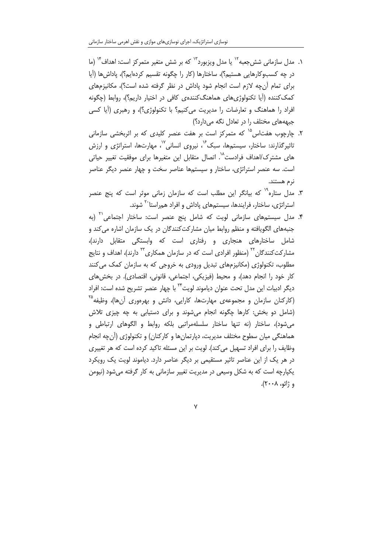- ۱. مدل سازمانی شش جعبه <sup>۱۲</sup> یا مدل ویزبورد ۱<sup>۳</sup> که بر شش متغیر متمرکز است: اهداف ۱<sup>۴</sup> (ما در چه کسبوکارهایی هستیم؟)، ساختارها (کار را چگونه تقسیم کردهایم؟)، پاداشها (آیا برای تمام آنچه لازم است انجام شود پاداش در نظر گرفته شده است؟)، مکانیزمهای کمک کننده (آیا تکنولوژیهای هماهنگ کنندهی کافی در اختیار داریم؟)، روابط (چگونه افراد را هماهنگ و تعارضات را مدیریت میکنیم؟ با تکنولوژی؟)، و رهبری (آیا کسی جبهههای مختلف را در تعادل نگه میدارد؟)
- ۲. چارچوب هفتاس<sup>۱۵</sup> که متمرکز است بر هفت عنصر کلیدی که بر اثربخشی سازمانی تاثیرگذارند: ساختار، سیستمها، سبک<sup>۶</sup>٬ نیروی انسانی<sup>۷٬</sup>، مهارتها، استراتژی و ارزش های مشترک/اهداف فرادست<sup>۸۸</sup>. اتصال متقابل این متغیرها برای موفقیت تغییر حیاتی است. سه عنصر استراتژی، ساختار و سیستمها عناصر سخت و چهار عنصر دیگر عناصر نرم هستند.
- ۳. مدل ستاره<sup>۱۹</sup> که بیانگر این مطلب است که سازمان زمانی موثر است که پنج عنصر استراتژی، ساختار، فرایندها، سیستمهای پاداش و افراد همراستا<sup>۲۰</sup> شوند.
- ۴. مدل سیستمهای سازمانی لویت که شامل پنج عنصر است: ساختار اجتماعی<sup>۲۱</sup> (به جنبههای الگویافته و منظم روابط میان مشارکتکنندگان در یک سازمان اشاره می کند و شامل ساختارهای هنجاری و رفتاری است که وابستگی متقابل دارند)، مشارکتکنندگان<sup>۲۲</sup> (منظور افرادی است که در سازمان همکاری<sup>۲۲</sup> دارند)، اهداف و نتایج مطلوب، تکنولوژی (مکانیزمهای تبدیل ورودی به خروجی که به سازمان کمک می کنند کار خود را انجام دهد)، و محیط (فیزیکی، اجتماعی، قانونی، اقتصادی). در بخش های دیگر ادبیات این مدل تحت عنوان دیاموند لویت<sup>۲۲</sup> با چهار عنصر تشریح شده است: افراد (کارکنان سازمان و مجموعهی مهارتها، کارایی، دانش و بهرهوری آنها)، وظیفه<sup>۲۵</sup> (شامل دو بخش: کارها چگونه انجام می شوند و برای دستیابی به چه چیزی تلاش می شود)، ساختار (نه تنها ساختار سلسلهمراتبی بلکه روابط و الگوهای ارتباطی و هماهنگی میان سطوح مختلف مدیریت، دپارتمانِها و کارکنان) و تکنولوژی (آنچه انجام وظایف را برای افراد تسهیل می کند). لویت بر این مسئله تاکید کرده است که هر تغییری در هر یک از این عناصر تاثیر مستقیمی بر دیگر عناصر دارد. دیاموند لویت یک رویکرد یکپارچه است که به شکل وسیعی در مدیریت تغییر سازمانی به کار گرفته می شود (نیومن و ژائو، ۲۰۰۸).

 $\mathsf{v}$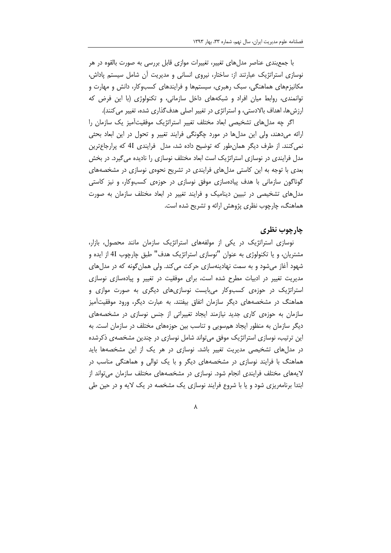با جمعبندی عناصر مدلهای تغییر، تغییرات موازی قابل بررسی به صورت بالقوه در هر نوسازی استراتژیک عبارتند از: ساختار، نیروی انسانی و مدیریت آن شامل سیستم پاداش، مکانیزمهای هماهنگی، سبک رهبری، سیستمها و فرایندهای کسبوکار، دانش و مهارت و توانمندی، روابط میان افراد و شبکههای داخل سازمانی، و تکنولوژی (با این فرض که ارزشها، اهداف بالادستی، و استراتژی در تغییر اصلی هدف گذاری شده، تغییر می کنند).

اگر چه مدلهای تشخیصی ابعاد مختلف تغییر استراتژیک موفقیتآمیز یک سازمان را ارائه میدهند، ولی این مدلها در مورد چگونگی فرایند تغییر و تحول در این ابعاد بحثی نمی کنند. از طرف دیگر همان طور که توضیح داده شد، مدل فرایندی 4I که پرارجاع ترین مدل فرایندی در نوسازی استراتژیک است ابعاد مختلف نوسازی را نادیده میگیرد. در بخش بعدی با توجه به این کاستی مدلهای فرایندی در تشریح نحوهی نوسازی در مشخصههای گوناگون سازمانی با هدف پیادهسازی موفق نوسازی در حوزهی کسبوکار، و نیز کاستی مدلهای تشخیصی در تبیین دینامیک و فرایند تغییر در ابعاد مختلف سازمان به صورت هماهنگ، چارچوب نظری پژوهش ارائه و تشریح شده است.

## چارچوب نظری

نوسازی استراتژیک در یکی از مولفههای استراتژیک سازمان مانند محصول، بازار، مشتریان، و یا تکنولوژی به عنوان "نوسازی استراتژیک هدف" طبق چارچوب 4I از ایده و شهود آغاز می شود و به سمت نهادینهسازی حرکت می کند. ولی همان گونه که در مدل های مدیریت تغییر در ادبیات مطرح شده است، برای موفقیت در تغییر و پیادهسازی نوسازی استراتژیک در حوزهی کسبوکار می بایست نوسازی های دیگری به صورت موازی و هماهنگ در مشخصههای دیگر سازمان اتفاق بیفتند. به عبارت دیگر، ورود موفقیتآمیز سازمان به حوزهی کاری جدید نیازمند ایجاد تغییراتی از جنس نوسازی در مشخصههای دیگر سازمان به منظور ایجاد همسویی و تناسب بین حوزههای مختلف در سازمان است. به این ترتیب، نوسازی استراتژیک موفق میتواند شامل نوسازی در چندین مشخصهی ذکرشده در مدلهای تشخیصی مدیریت تغییر باشد. نوسازی در هر یک از این مشخصهها باید هماهنگ با فرایند نوسازی در مشخصههای دیگر و با یک توالی و هماهنگی مناسب در لایههای مختلف فرایندی انجام شود. نوسازی در مشخصههای مختلف سازمان می تواند از ابتدا برنامهریزی شود و یا با شروع فرایند نوسازی یک مشخصه در یک لایه و در حین طی

 $\lambda$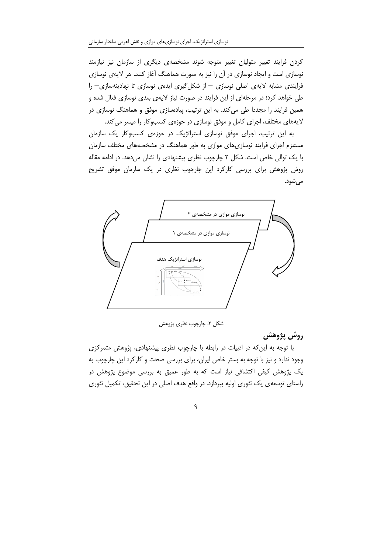کردن فرایند تغییر متولیان تغییر متوجه شوند مشخصهی دیگری از سازمان نیز نیازمند نوسازی است و ایجاد نوسازی در آن را نیز به صورت هماهنگ آغاز کنند. هر لایهی نوسازی فرایندی مشابه لایهی اصلی نوسازی – از شکل گیری ایدهی نوسازی تا نهادینهسازی– را طی خواهد کرد؛ در مرحلهای از این فرایند در صورت نیاز لایهی بعدی نوسازی فعال شده و همین فرایند را مجددا طی می کند. به این ترتیب، پیادهسازی موفق و هماهنگ نوسازی در لایههای مختلف، اجرای کامل و موفق نوسازی در حوزهی کسبوکار را میسر می کند.

به این ترتیب، اجرای موفق نوسازی استراتژیک در حوزهی کسبوکار یک سازمان مستلزم اجرای فرایند نوسازیهای موازی به طور هماهنگ در مشخصههای مختلف سازمان با یک توالی خاص است. شکل ۲ چارچوب نظری پیشنهادی را نشان میدهد. در ادامه مقاله روش پژوهش برای بررسی کارکرد این چارجوب نظری در یک سازمان موفق تشریح مي شود.



شکل ۲. چارچوب نظری پژوهش

# **روش پژوهش**

با توجه به این که در ادبیات در رابطه با چارچوب نظری پیشنهادی، پژوهش متمرکزی وجود ندارد و نیز با توجه به بستر خاص ایران، برای بررسی صحت و کارکرد این چارچوب به یک پژوهش کیفی اکتشافی نیاز است که به طور عمیق به بررسی موضوع پژوهش در راستای توسعهی یک تئوری اولیه بپردازد. در واقع هدف اصلی در این تحقیق، تکمیل تئوری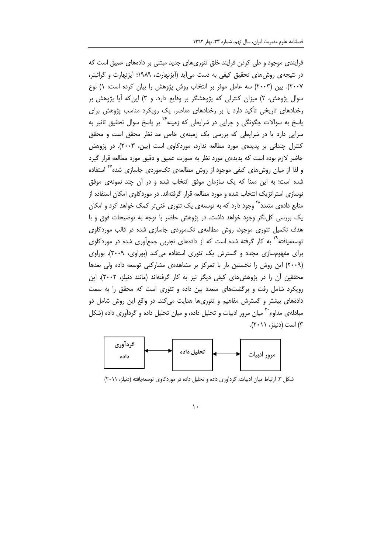فرایندی موجود و طی کردن فرایند خلق تئوریهای جدید مبتنی بر دادههای عمیق است که در نتیجهی روشهای تحقیق کیفی به دست میأید (أیزنهارت، ۱۹۸۹؛ أیزنهارت و گرائبنر، ٢٠٠٧). يين (٢٠٠٣) سه عامل موثر بر انتخاب روش پژوهش را بيان كرده است: ١) نوع سوال پژوهش، ۲) میزان کنترلی که پژوهشگر بر وقایع دارد، و ۳) این که آیا پژوهش بر رخدادهای تاریخی تأکید دارد یا بر رخدادهای معاصر. یک رویکرد مناسب پژوهش برای پاسخ به سوالات چگونگی و چرایی در شرایطی که زمینه<sup>۲۶</sup> بر پاسخ سوال تحقیق تاثیر به سزایی دارد یا در شرایطی که بررسی یک زمینهی خاص مد نظر محقق است و محقق کنترل چندانی بر پدیدهی مورد مطالعه ندارد، موردکاوی است (پین، ۲۰۰۳). در پژوهش حاضر لازم بوده است که پدیدهی مورد نظر به صورت عمیق و دقیق مورد مطالعه قرار گیرد و لذا از میان روشهای کیفی موجود از روش مطالعهی تکموردی جاسازی شده<sup>۱٬</sup> استفاده شده است؛ به این معنا که یک سازمان موفق انتخاب شده و در آن چند نمونهی موفق نوسازی استراتژیک انتخاب شده و مورد مطالعه قرار گرفتهاند. در موردکاوی امکان استفاده از منابع دادهی متعدد<sup>۲۸</sup> وجود دارد که به توسعهی یک تئوری غنیتر کمک خواهد کرد و امکان یک بررسی کلنگر وجود خواهد داشت. در پژوهش حاضر با توجه به توضیحات فوق و با هدف تکمیل تئوری موجود، روش مطالعهی تکموردی جاسازی شده در قالب موردکاوی توسعه یافته<sup>۲۹</sup> به کار گرفته شده است که از دادههای تجربی جمعآوری شده در موردکاوی برای مفهومسازی مجدد و گسترش یک تئوری استفاده می کند (بوراوی، ۲۰۰۹). بوراوی (۲۰۰۹) این روش را نخستین بار با تمرکز بر مشاهدهی مشارکتی توسعه داده ولی بعدها محققین آن را در پژوهش های کیفی دیگر نیز به کار گرفتهاند (مانند دنیلز، ۲۰۰۲). این رویکرد شامل رفت و برگشتهای متعدد بین داده و تئوری است که محقق را به سمت دادههای بیشتر و گسترش مفاهیم و تئوریها هدایت میکند. در واقع این روش شامل دو مبادلهی مداوم<sup>۳۰</sup> میان مرور ادبیات و تحلیل داده، و میان تحلیل داده و گردآوری داده (شکل ۳) است (دنیلز، ۲۰۱۱).



شکل ۳. ارتباط میان ادبیات، گردآوری داده و تحلیل داده در موردکاوی توسعه یافته (دنیلز، ۲۰۱۱)

 $\lambda$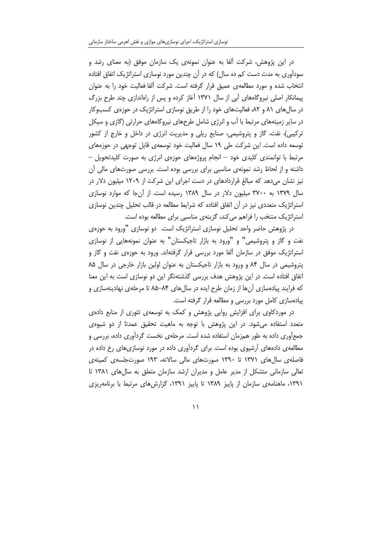در این پژوهش، شرکت آلفا به عنوان نمونهی یک سازمان موفق (به معنای رشد و سودآوری به مدت دست کم ده سال) که در آن چندین مورد نوسازی استراتژیک اتفاق افتاده انتخاب شده و مورد مطالعه ی عمیق قرار گرفته است. شرکت آلفا فعالیت خود را به عنوان پیمانکار اصلی نیروگاههای آبی از سال ۱۳۷۱ آغاز کرده و پس از راهاندازی چند طرح بزرگ در سال های ۸۱ و ۸۲ فعالیتهای خود را از طریق نوسازی استراتژیک در حوزهی کسبوکار در سایر زمینههای مرتبط با آب و انرژی شامل طرحهای نیروگاههای حرارتی (گازی و سیکل ترکیبی)، نفت، گاز و پتروشیمی، صنایع ریلی و مدیریت انرژی در داخل و خارج از کشور توسعه داده است. این شرکت طی ۱۹ سال فعالیت خود توسعهی قابل توجهی در حوزههای مرتبط با توانمندی کلیدی خود — انجام پروژههای حوزهی انرژی به صورت کلیدتحویل – داشته و از لحاظ رشد نمونهی مناسبی برای بررسی بوده است. بررسی صورتهای مالی آن نیز نشان میدهد که مبالغ قراردادهای در دست اجرای این شرکت از ۱۲۰۹ میلیون دلار در سال ۱۳۷۹ به ۳۷۰۰ میلیون دلار در سال ۱۳۸۹ رسیده است. از آنجا که موارد نوسازی استراتژیک متعددی نیز در آن اتفاق افتاده که شرایط مطالعه در قالب تحلیل چندین نوسازی استراتژیک منتخب را فراهم می کند، گزینهی مناسبی برای مطالعه بوده است.

در پژوهش حاضر واحد تحلیل نوسازی استراتژیک است. دو نوسازی "ورود به حوزهی نفت و گاز و پتروشیمی" و "ورود به بازار تاجیکستان" به عنوان نمونههایی از نوسازی استراتژیک موفق در سازمان آلفا مورد بررسی قرار گرفتهاند. ورود به حوزهی نفت و گاز و پتروشیمی در سال ۸۴ و ورود به بازار تاجیکستان به عنوان اولین بازار خارجی در سال ۸۵ اتفاق افتاده است. در این پژوهش هدف بررسی گذشتهنگر این دو نوسازی است به این معنا که فرایند پیادهسازی آنها از زمان طرح ایده در سالهای ۸۴−۸۵ تا مرحلهی نهادینهسازی و پیادهسازی کامل مورد بررسی و مطالعه قرار گرفته است.

در موردکاوی برای افزایش روایی پژوهش و کمک به توسعهی تئوری از منابع دادهی متعدد استفاده میشود. در این پژوهش با توجه به ماهیت تحقیق عمدتا از دو شیوهی جمعآوری داده به طور همزمان استفاده شده است. مرحلهی نخست گردآوری داده، بررسی و مطالعه ی دادههای آرشیوی بوده است. برای گردآوری داده در مورد نوسازیهای رخ داده در فاصلهی سال های ۱۳۷۱ تا ۱۳۹۰ صورتهای مالی سالانه، ۱۹۳ صورتجلسهی کمیتهی تعالی سازمانی متشکل از مدیر عامل و مدیران ارشد سازمان متعلق به سال های ۱۳۸۱ تا ۱۳۹۱، ماهنامهی سازمان از پاییز ۱۳۸۹ تا پاییز ۱۳۹۱، گزارشهای مرتبط با برنامهریزی

 $\overline{1}$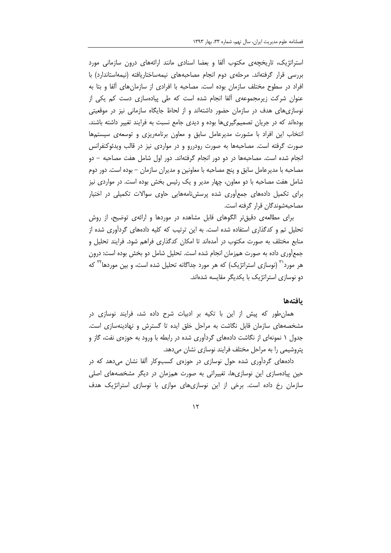استراتژیک، تاریخچهی مکتوب آلفا و بعضا اسنادی مانند ارائههای درون سازمانی مورد بررسی قرار گرفتهاند. مرحلهی دوم انجام مصاحبههای نیمهساختاریافته (نیمهاستاندارد) با افراد در سطوح مختلف سازمان بوده است. مصاحبه با افرادی از سازمانهای ألفا و بتا به عنوان شرکت زیرمجموعهی آلفا انجام شده است که طی پیادهسازی دست کم یکی از نوسازی های هدف در سازمان حضور داشتهاند و از لحاظ جایگاه سازمانی نیز در موقعیتی بودهاند که در جریان تصمیمگیریها بوده و دیدی جامع نسبت به فرایند تغییر داشته باشند. انتخاب این افراد با مشورت مدیرعامل سابق و معاون برنامهریزی و توسعهی سیستمها صورت گرفته است. مصاحبهها به صورت رودررو و در مواردی نیز در قالب ویدئوکنفرانس انجام شده است. مصاحبهها در دو دور انجام گرفتهاند. دور اول شامل هفت مصاحبه – دو مصاحبه با مدیرعامل سابق و پنج مصاحبه با معاونین و مدیران سازمان – بوده است. دور دوم شامل هفت مصاحبه با دو معاون، چهار مدیر و یک رئیس بخش بوده است. در مواردی نیز برای تکمیل دادههای جمعآوری شده پرسشنامههایی حاوی سوالات تکمیلی در اختیار مصاحبهشوندگان قرار گرفته است.

برای مطالعهی دقیقتر الگوهای قابل مشاهده در موردها و ارائهی توضیح، از روش تحلیل تم و کدگذاری استفاده شده است. به این ترتیب که کلیه دادههای گردآوری شده از منابع مختلف به صورت مکتوب در آمدهاند تا امکان کدگذاری فراهم شود. فرایند تحلیل و جمع آوری داده به صورت همزمان انجام شده است. تحلیل شامل دو بخش بوده است: درون هر مورد<sup>٬۲</sup> (نوسازی استراتژیک) که هر مورد جداگانه تحلیل شده است، و بین موردها<sup>۲۲</sup> که دو نوسازی استراتژیک با یکدیگر مقایسه شدهاند.

### يافتهها

همان طور که پیش از این با تکیه بر ادبیات شرح داده شد، فرایند نوسازی در مشخصههای سازمان قابل نگاشت به مراحل خلق ایده تا گسترش و نهادینهسازی است. جدول ۱ نمونهای از نگاشت دادههای گردآوری شده در رابطه با ورود به حوزهی نفت، گاز و پتروشیمی را به مراحل مختلف فرایند نوسازی نشان میدهد.

دادههای گردآوری شده حول نوسازی در حوزهی کسبوکار آلفا نشان میدهد که در حین پیادهسازی این نوسازیها، تغییراتی به صورت همزمان در دیگر مشخصههای اصل*ی* سازمان رخ داده است. برخی از این نوسازیهای موازی با نوسازی استراتژیک هدف

## $\mathcal{N}$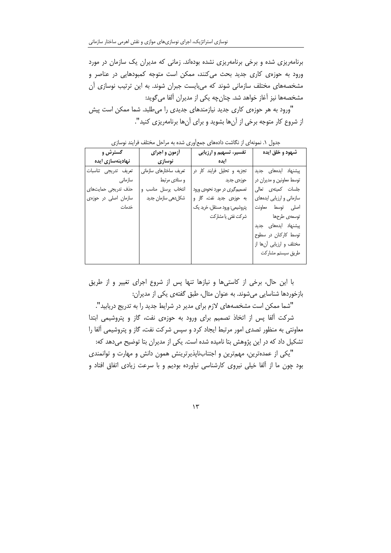برنامهریزی شده و برخی برنامهریزی نشده بودهاند. زمانی که مدیران یک سازمان در مورد ورود به حوزهی کاری جدید بحث میکنند، ممکن است متوجه کمبودهایی در عناصر و مشخصههای مختلف سازمانی شوند که میبایست جبران شوند. به این ترتیب نوسازی آن مشخصهها نیز آغاز خواهد شد. چنان چه یکی از مدیران آلفا می گوید:

"ورود به هر حوزهى كارى جديد نيازمندهاى جديدى را مىطلبد. شما ممكن است پيش از شروع کار متوجه برخی از آنها بشوید و برای آنها برنامهریزی کنید".

| گسترش و              | أزمون و اجراي           | تفسیر، تسهیم و ارزیابی        | شهود و خلق ایده           |
|----------------------|-------------------------|-------------------------------|---------------------------|
| نهادینهسازی ایده     | نوسازی                  | ايده                          |                           |
| تعريف تدريجي تناسبات | تعریف ساختارهای سازمانی | تجزیه و تحلیل فرایند کار در   | پیشنهاد ایدههای جدید      |
| سازمانى              | و ستادى مرتبط           | حوزەى جديد                    | توسط معاونین و مدیران در  |
| حذف تدريجي حمايتهاى  | انتخاب پرسنل مناسب و    | تصمیمگیری در مورد نحوهی ورود  | جلسات كميتهى تعالى        |
| سازمان اصلی در حوزهی | شکل دھی سازمان جدید     | به حوزهى جديد نفت، گاز و      | سازمانی و ارزیابی ایدههای |
| خدمات                |                         | پتروشیمی: ورود مستقل، خرید یک | اصلى توسط معاونت          |
|                      |                         | شرکت نفتی یا مشارکت           | توسعهى طرحها              |
|                      |                         |                               | پیشنهاد ایدههای جدید      |
|                      |                         |                               | توسط کارکنان در سطوح      |
|                      |                         |                               | مختلف و ارزیابی أنها از   |
|                      |                         |                               | طریق سیستم مشارکت         |
|                      |                         |                               |                           |

جدول ۱. نمونهای از نگاشت دادههای جمعآوری شده به مراحل مختلف فرایند نوسازی

با این حال، برخی از کاستیها و نیازها تنها پس از شروع اجرای تغییر و از طریق بازخوردها شناسایی میشوند. به عنوان مثال، طبق گفتهی یکی از مدیران:

"شما ممكن است مشخصههاى لازم براى مدير در شرايط جديد را به تدريج دريابيد". شرکت آلفا پس از اتخاذ تصمیم برای ورود به حوزهی نفت، گاز و پتروشیمی ابتدا معاونتی به منظور تصدی امور مرتبط ایجاد کرد و سپس شرکت نفت، گاز و پتروشیمی آلفا را تشکیل داد که در این پژوهش بتا نامیده شده است. یکی از مدیران بتا توضیح میدهد که: "یکی از عمدهترین، مهمترین و اجتنابناپذیرترینش همون دانش و مهارت و توانمندی

بود چون ما از آلفا خیلی نیروی کارشناسی نیاورده بودیم و با سرعت زیادی اتفاق افتاد و

 $\gamma$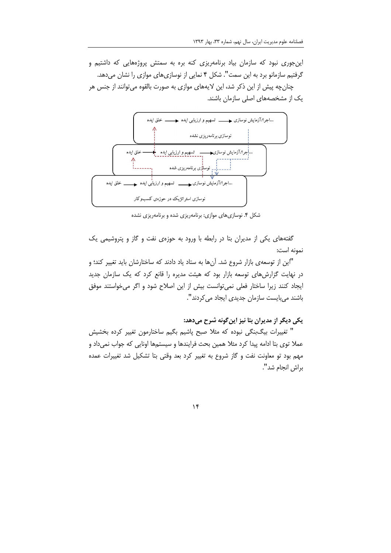اینجوری نبود که سازمان بیاد برنامهریزی کنه بره به سمتش پروژههایی که داشتیم و گرفتیم سازمانو برد به این سمت". شکل ۴ نمایی از نوسازیهای موازی را نشان میدهد. چنان چه پیش از این ذکر شد، این لایههای موازی به صورت بالقوه می توانند از جنس هر یک از مشخصههای اصلی سازمان باشند.



شکل ۴. نوسازیهای موازی: برنامهریزی شده و برنامهریزی نشده

گفتههای یکی از مدیران بتا در رابطه با ورود به حوزهی نفت و گاز و پتروشیمی یک نمونه است:

"این از توسعهی بازار شروع شد. آنها به ستاد یاد دادند که ساختارشان باید تغییر کند؛ و در نهایت گزارشهای توسعه بازار بود که هیئت مدیره را قانع کرد که یک سازمان جدید ایجاد کنند زیرا ساختار فعلی نمی توانست بیش از این اصلاح شود و اگر می خواستند موفق باشند می،بایست سازمان جدیدی ایجاد می کردند".

يکي ديگر از مديران بتا نيز اين گونه شرح مي دهد:

" تغييرات بيگبنگي نبوده كه مثلا صبح پاشيم بگيم ساختارمون تغيير كرده بخشيش عملا توی بتا ادامه پیدا کرد مثلا همین بحث فرایندها و سیستهها اونایی که جواب نمیداد و مهم بود تو معاونت نفت و گاز شروع به تغییر کرد بعد وقتی بتا تشکیل شد تغییرات عمده براش انجام شد".

 $\mathcal{N}$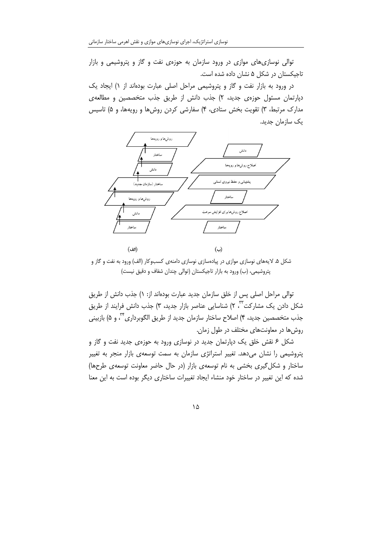توالي نوسازي هاي موازي در ورود سازمان به حوزهي نفت و گاز و پتروشيمي و بازار تاجیکستان در شکل ۵ نشان داده شده است.

در ورود به بازار نفت و گاز و پتروشیمی مراحل اصلی عبارت بودهاند از ۱) ایجاد یک دپارتمان مسئول حوزهى جديد، ٢) جذب دانش از طريق جذب متخصصين و مطالعهى مدارک مرتبط، ۳) تقویت بخش ستادی، ۴) سفارشی کردن روشها و رویهها، و ۵) تاسیس یک سازمان جدید.



شکل ۵. لایههای نوسازی موازی در پیادهسازی نوسازی دامنهی کسبوکار (الف) ورود به نفت و گاز و پتروشیمی، (ب) ورود به بازار تاجیکستان (توالی چندان شفاف و دقیق نیست)

توالی مراحل اصلی پس از خلق سازمان جدید عبارت بودهاند از: ۱) جذب دانش از طریق شکل دادن یک مشارکت<sup>۳</sup>۳، ۲) شناسایی عناصر بازار جدید، ۳) جذب دانش فرایند از طریق جذب متخصصین جدید، ۴) اصلاح ساختار سازمان جدید از طریق الگوبرداری۳ ّ، و ۵) بازبینی روشها در معاونتهای مختلف در طول زمان.

شکل ۶ نقش خلق یک دپارتمان جدید در نوسازی ورود به حوزهی جدید نفت و گاز و یتروشیمی را نشان میدهد. تغییر استراتژی سازمان به سمت توسعهی بازار منجر به تغییر ساختار و شکل گیری بخشی به نام توسعهی بازار (در حال حاضر معاونت توسعهی طرحها) شده که این تغییر در ساختار خود منشاء ایجاد تغییرات ساختاری دیگر بوده است به این معنا

 $\Delta$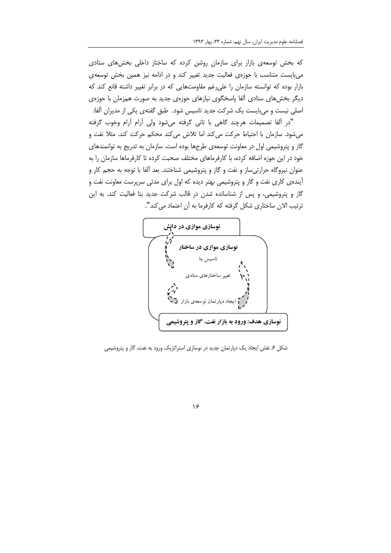که بخش توسعهی بازار برای سازمان روشن کرده که ساختار داخلی بخش های ستادی می بایست متناسب با حوزهی فعالیت جدید تغییر کند و در ادامه نیز همین بخش توسعهی بازار بوده که توانسته سازمان را علی رغم مقاومتهایی که در برابر تغییر داشته قانع کند که دیگر بخشهای ستادی آلفا پاسخگوی نیازهای حوزهی جدید به صورت همزمان با حوزهی اصلی نیست و می،بایست یک شرکت جدید تاسیس شود. طبق گفتهی یکی از مدیران آلفا:

"در آلفا تصميمات هرچند گاهي با تاني گرفته مي شود ولي آرام آرام وخوب گرفته می شود. سازمان با احتیاط حرکت می کند اما تلاش می کند محکم حرکت کند. مثلا نفت و گاز و پتروشیمی اول در معاونت توسعهی طرحها بوده است. سازمان به تدریج به توانمندهای خود در این حوزه اضافه کرده، با کارفرماهای مختلف صحبت کرده تا کارفرماها سازمان را به عنوان نیروگاه حرارتیٍساز و نفت و گاز و پتروشیمی شناختند. بعد آلفا با توجه به حجم کار و آیندهی کاری نفت و گاز و پتروشیمی بهتر دیده که اول برای مدتی سرپرست معاونت نفت و گاز و پتروشیمی، و پس از شناسانده شدن در قالب شرکت جدید بتا فعالیت کند. به این ترتيب الان ساختاري شكل گرفته كه كارفرما به آن اعتماد مي كند".



شکل ۶ نقش ایجاد یک دپارتمان جدید در نوسازی استراتژیک ورود به نفت، گاز و پتروشیمی

۱۶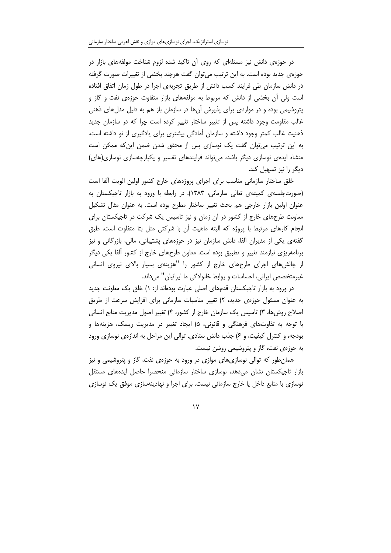در حوزهی دانش نیز مسئلهای که روی آن تاکید شده لزوم شناخت مولفههای بازار در حوزهی جدید بوده است. به این ترتیب میٍتوان گفت هرچند بخشی از تغییرات صورت گرفته در دانش سازمان طی فرایند کسب دانش از طریق تجربهی اجرا در طول زمان اتفاق افتاده است ولی آن بخشی از دانش که مربوط به مولفههای بازار متفاوت حوزهی نفت و گاز و پتروشیمی بوده و در مواردی برای پذیرش آنها در سازمان باز هم به دلیل مدلهای ذهنی غالب مقاومت وجود داشته پس از تغییر ساختار تغییر کرده است چرا که در سازمان جدید ذهنیت غالب کمتر وجود داشته و سازمان آمادگی بیشتری برای یادگیری از نو داشته است. به این ترتیب می توان گفت یک نوسازی پس از محقق شدن ضمن این که ممکن است منشاء ایدهی نوسازی دیگر باشد، می تواند فرایندهای تفسیر و یکپارچهسازی نوسازی(های) دیگر را نیز تسهیل کند.

خلق ساختار سازمانی مناسب برای اجرای پروژههای خارج کشور اولین الویت آلفا است (صورتجلسه ی کمیته ی تعالی سازمانی، ۱۳۸۳). در رابطه با ورود به بازار تاجیکستان به عنوان اولین بازار خارجی هم بحث تغییر ساختار مطرح بوده است. به عنوان مثال تشکیل معاونت طرحهای خارج از کشور در آن زمان و نیز تاسیس یک شرکت در تاجیکستان برای انجام كارهاى مرتبط با پروژه كه البته ماهيت آن با شركتى مثل بتا متفاوت است. طبق گفتهی یکی از مدیران آلفا، دانش سازمان نیز در حوزههای پشتیبانی، مالی، بازرگانی و نیز برنامهریزی نیازمند تغییر و تطبیق بوده است. معاون طرحهای خارج از کشور آلفا یکی دیگر از چالش های اجرای طرحهای خارج از کشور را "هزینهی بسیار بالای نیروی انسانی غیرمتخصص ایرانی، احساسات و روابط خانوادگی ما ایرانیان " می داند.

در ورود به بازار تاجیکستان قدمهای اصلی عبارت بودهاند از: ۱) خلق یک معاونت جدید به عنوان مسئول حوزهى جديد، ٢) تغيير مناسبات سازماني براي افزايش سرعت از طريق اصلاح روش&ا، ۳) تاسیس یک سازمان خارج از کشور، ۴) تغییر اصول مدیریت منابع انسانی با توجه به تفاوتهای فرهنگی و قانونی، ۵) ایجاد تغییر در مدیریت ریسک، هزینهها و بودجه، و کنترل کیفیت، و ۶) جذب دانش ستادی. توالی این مراحل به اندازهی نوسازی ورود به حوزهی نفت، گاز و پتروشیمی روشن نیست.

همان طور که توالی نوسازی های موازی در ورود به حوزهی نفت، گاز و پتروشیمی و نیز بازار تاجیکستان نشان میدهد، نوسازی ساختار سازمانی منحصرا حاصل ایدههای مستقل نوسازی با منابع داخل یا خارج سازمانی نیست. برای اجرا و نهادینهسازی موفق یک نوسازی

 $\gamma$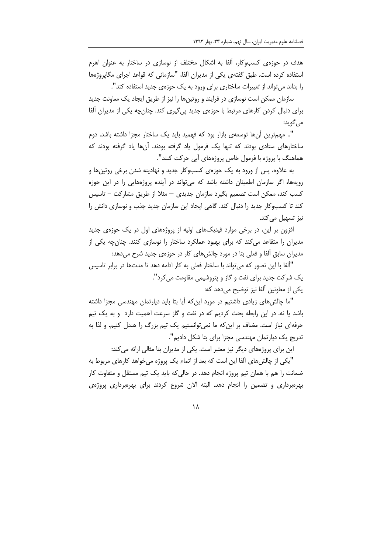هدف در حوزهی کسبوکار، اَلفا به اشکال مختلف از نوسازی در ساختار به عنوان اهرم استفاده کرده است. طبق گفتهی یکی از مدیران آلفا، "سازمانی که قواعد اجرای مگایروژهها را بداند می تواند از تغییرات ساختاری برای ورود به یک حوزهی جدید استفاده کند".

سازمان ممکن است نوسازی در فرایند و روتینها را نیز از طریق ایجاد یک معاونت جدید برای دنبال کردن کارهای مرتبط با حوزهی جدید پی گیری کند. چنانچه یکی از مدیران آلفا مے ,گوید:

".. مهمترین آنها توسعهی بازار بود که فهمید باید یک ساختار مجزا داشته باشد. دوم ساختارهای ستادی بودند که تنها یک فرمول یاد گرفته بودند. آنها یاد گرفته بودند که هماهنگ با پروژه با فرمول خاص پروژههای آبی حرکت کنند".

به علاوه، پس از ورود به یک حوزهی کسبوکار جدید و نهادینه شدن برخی روتینها و رویهها، اگر سازمان اطمینان داشته باشد که میتواند در آینده پروژههایی را در این حوزه کسب کند، ممکن است تصمیم بگیرد سازمان جدیدی — مثلا از طریق مشارکت – تاسیس کند تا کسبوکار جدید را دنبال کند. گاهی ایجاد این سازمان جدید جذب و نوسازی دانش را نیز تسهیل می کند.

افزون بر این، در برخی موارد فیدبکهای اولیه از پروژههای اول در یک حوزهی جدید مدیران را متقاعد می کند که برای بهبود عملکرد ساختار را نوسازی کنند. چنان چه یکی از مدیران سابق آلفا و فعلی بتا در مورد چالش های کار در حوزهی جدید شرح میدهد:

"آلفا با این تصور که میتواند با ساختار فعلی به کار ادامه دهد تا مدتها در برابر تاسیس یک شرکت جدید برای نفت و گاز و پتروشیمی مقاومت می کرد".

يكي از معاونين ألفا نيز توضيح ميدهد كه:

"ما چالش های زیادی داشتیم در مورد این که آیا بتا باید دیارتمان مهندسی مجزا داشته باشد یا نه. در این رابطه بحث کردیم که در نفت و گاز سرعت اهمیت دارد و به یک تیم حرفه|ی نیاز است. مضاف بر این که ما نمیتوانستیم یک تیم بزرگ را هندل کنیم. و لذا به تدریج یک دپارتمان مهندسی مجزا برای بتا شکل دادیم".

این برای پروژههای دیگر نیز معتبر است. یکی از مدیران بتا مثالی ارائه می کند:

"یکی از چالش های آلفا این است که بعد از اتمام یک پروژه میخواهد کارهای مربوط به ضمانت را هم با همان تیم پروژه انجام دهد. در حالی که باید یک تیم مستقل و متفاوت کار بهرهبرداری و تضمین را انجام دهد. البته الان شروع کردند برای بهرهبرداری پروژهی

 $\lambda$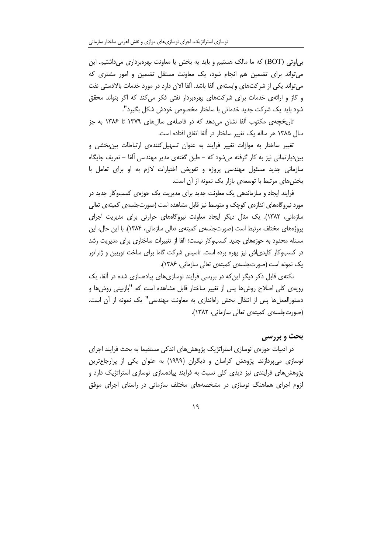بی|وتی (BOT) که ما مالک هستیم و باید یه بخش یا معاونت بهرهبرداری میداشتیم. این می تواند برای تضمین هم انجام شود، یک معاونت مستقل تضمین و امور مشتری که می تواند یکی از شرکتهای وابستهی آلفا باشد. آلفا الان دارد در مورد خدمات بالادستی نفت و گاز و ارائهی خدمات برای شرکتهای بهرهبردار نفتی فکر می کند که اگر بتواند محقق شود بايد يک شرکت جديد خدماتي با ساختار مخصوص خودش شکل بگيرد".

تاریخچهی مکتوب آلفا نشان می دهد که در فاصلهی سال های ۱۳۷۹ تا ۱۳۸۶ به جز سال ۱۳۸۵ هر ساله یک تغییر ساختار در آلفا اتفاق افتاده است.

تغییر ساختار به موازات تغییر فرایند به عنوان تسهیل کنندهی ارتباطات بین بخشی و بین‹پارتمانی نیز به کار گرفته میشود که – طبق گفتهی مدیر مهندسی آلفا – تعریف جایگاه سازمانی جدید مسئول مهندسی پروژه و تفویض اختیارات لازم به او برای تعامل با بخش های مرتبط با توسعهی بازار یک نمونه از آن است.

فرایند ایجاد و سازماندهی یک معاونت جدید برای مدیریت یک حوزهی کسبوکار جدید در مورد نیروگاههای اندازهی کوچک و متوسط نیز قابل مشاهده است (صورتجلسهی کمیتهی تعالی سازمانی، ۱۳۸۲). یک مثال دیگر ایجاد معاونت نیروگاههای حرارتی برای مدیریت اجرای پروژههای مختلف مرتبط است (صورتجلسهی کمیتهی تعالی سازمانی، ۱۳۸۴). با این حال، این مسئله محدود به جوزمهای جدید کسبوکار نیست؛ آلفا از تغییرات ساختاری برای مدیریت رشد در کسبوکار کلیدی|ش نیز بهره برده است. تاسیس شرکت گاما برای ساخت توربین و ژنراتور یک نمونه است (صورتجلسه ی کمیته ی تعالی سازمانی، ۱۳۸۶).

نکتهی قابل ذکر دیگر این که در بررسی فرایند نوسازی های پیادهسازی شده در آلفا، یک رویهی کلی اصلاح روشها پس از تغییر ساختار قابل مشاهده است که "بازبینی روشها و دستورالعملها پس از انتقال بخش راهاندازی به معاونت مهندسی" یک نمونه از آن است. (صورتجلسهى كميتهى تعالى سازمانى، ١٣٨٢).

# **بحث و بررسی**

در ادبیات حوزهی نوسازی استراتژیک پژوهش های اندکی مستقیما به بحث فرایند اجرای نوسازی میپردازند. پژوهش کراسان و دیگران (۱۹۹۹) به عنوان یکی از پرارجاعترین پژوهش های فرایندی نیز دیدی کلی نسبت به فرایند پیادهسازی نوسازی استراتژیک دارد و لزوم اجرای هماهنگ نوسازی در مشخصههای مختلف سازمانی در راستای اجرای موفق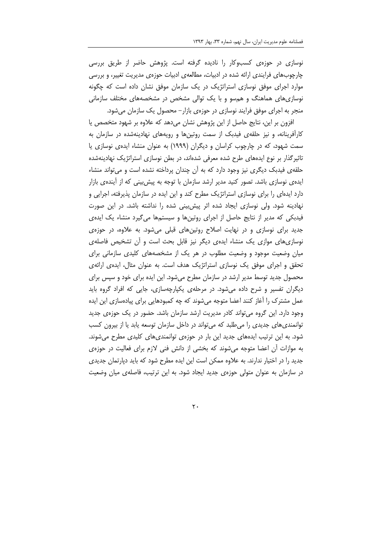نوسازی در حوزهی کسبوکار را نادیده گرفته است. پژوهش حاضر از طریق بررسی چارچوبهای فرایندی ارائه شده در ادبیات، مطالعهی ادبیات حوزهی مدیریت تغییر، و بررسی موارد اجرای موفق نوسازی استراتژیک در یک سازمان موفق نشان داده است که چگونه نوسازی های هماهنگ و همسو و با یک توالی مشخص در مشخصههای مختلف سازمانی منجر به اجرای موفق فرایند نوسازی در حوزهی بازار– محصول یک سازمان میشود.

افزون بر این، نتایج حاصل از این پژوهش نشان میدهد که علاوه بر شهود متخصص یا کارآفرینانه، و نیز حلقهی فیدبک از سمت روتینها و رویههای نهادینهشده در سازمان به سمت شهود، که در چارچوب کراسان و دیگران (۱۹۹۹) به عنوان منشاء ایدهی نوسازی یا تاثیر گذار بر نوع ایدههای طرح شده معرفی شدهاند، در بطن نوسازی استراتژیک نهادینهشده حلقهی فیدبک دیگری نیز وجود دارد که به آن چندان پرداخته نشده است و می تواند منشاء ایدهی نوسازی باشد. تصور کنید مدیر ارشد سازمان با توجه به پیش بینی که از آیندهی بازار دارد ایدهای را برای نوسازی استراتژیک مطرح کند و این ایده در سازمان پذیرفته، اجرایی و نهادینه شود. ولی نوسازی ایجاد شده اثر پیش بینی شده را نداشته باشد. در این صورت فیدبکی که مدیر از نتایج حاصل از اجرای روتینها و سیستمها میگیرد منشاء یک ایدهی جدید برای نوسازی و در نهایت اصلاح روتینهای قبلی میشود. به علاوه، در حوزهی نوسازی های موازی یک منشاء ایدهی دیگر نیز قابل بحث است و آن تشخیص فاصلهی میان وضعیت موجود و وضعیت مطلوب در هر یک از مشخصههای کلیدی سازمانی برای تحقق و اجرای موفق یک نوسازی استراتژیک هدف است. به عنوان مثال، ایدهی ارائهی محصول جدید توسط مدیر ارشد در سازمان مطرح میشود. این ایده برای خود و سپس برای دیگران تفسیر و شرح داده میشود. در مرحلهی یکپارچهسازی، جایی که افراد گروه باید عمل مشترک را آغاز کنند اعضا متوجه میشوند که چه کمبودهایی برای پیادهسازی این ایده وجود دارد. این گروه میتواند کادر مدیریت ارشد سازمان باشد. حضور در یک حوزهی جدید توانمندی های جدیدی را می طلبد که می تواند در داخل سازمان توسعه یابد یا از بیرون کسب شود. به این ترتیب ایدههای جدید این بار در حوزهی توانمندیهای کلیدی مطرح میشوند. به موازات آن اعضا متوجه میشوند که بخشی از دانش فنی لازم برای فعالیت در حوزهی جدید را در اختیار ندارند. به علاوه ممکن است این ایده مطرح شود که باید دپارتمان جدیدی در سازمان به عنوان متولی حوزهی جدید ایجاد شود. به این ترتیب، فاصلهی میان وضعیت

 $\mathsf{r}$ .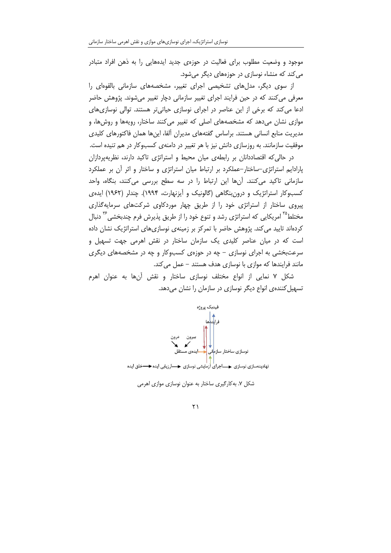موجود و وضعیت مطلوب برای فعالیت در حوزهی جدید ایدههایی را به ذهن افراد متبادر می کند که منشاء نوسازی در حوزههای دیگر می شود.

از سوی دیگر، مدل های تشخیصی اجرای تغییر، مشخصههای سازمانی بالقوهای را معرفی میکنند که در حین فرایند اجرای تغییر سازمانی دچار تغییر میشوند. پژوهش حاضر ادعا می کند که برخی از این عناصر در اجرای نوسازی حیاتی تر هستند. توالی نوسازی های موازی نشان میدهد که مشخصههای اصلی که تغییر میکنند ساختار، رویهها و روشها، و مدیریت منابع انسانی هستند. براساس گفتههای مدیران آلفا، اینها همان فاکتورهای کلیدی موفقیت سازمانند. به روزسازی دانش نیز با هر تغییر در دامنهی کسبوکار در هم تنیده است.

در حالی که اقتصاددانان بر رابطهی میان محیط و استراتژی تاکید دارند، نظریهپردازان یارادایم استراتژی-ساختار-عملکرد بر ارتباط میان استراتژی و ساختار و اثر آن بر عملکرد سازمانی تاکید میکنند. آنها این ارتباط را در سه سطح بررسی میکنند، بنگاه، واحد کسبوکار استراتژیک و درون بنگاهی (گالونیک و آیزنهارت، ۱۹۹۴). چندلر (۱۹۶۲) ایده ی پیروی ساختار از استراتژی خود را از طریق چهار موردکاوی شرکتهای سرمایهگذاری مختلط<sup>۲۵</sup> امریکایی که استراتژی رشد و تنوع خود را از طریق پذیرش فرم چندبخشی<sup>۳۶</sup> دنبال کردهاند تایید می کند. پژوهش حاضر با تمرکز بر زمینهی نوسازیهای استراتژیک نشان داده است که در میان عناصر کلیدی یک سازمان ساختار در نقش اهرمی جهت تسهیل و سرعتبخشی به اجرای نوسازی – چه در حوزهی کسبوکار و چه در مشخصههای دیگری مانند فرایندها که موازی با نوسازی هدف هستند – عمل می کند.

شکل ۷ نمایی از انواع مختلف نوسازی ساختار و نقش آنها به عنوان اهرم تسهیل کنندهی انواع دیگر نوسازی در سازمان را نشان میدهد.



شکل ۷. به کارگیری ساختار به عنوان نوسازی موازی اهرمی

 $\overline{Y}$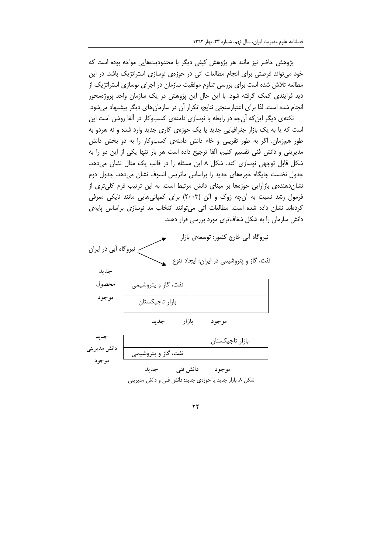پژوهش حاضر نیز مانند هر پژوهش کیفی دیگر با محدودیتهایی مواجه بوده است که خود می تواند فرصتی برای انجام مطالعات آتی در حوزهی نوسازی استراتژیک باشد. در این مطالعه تلاش شده است برای بررسی تداوم موفقیت سازمان در اجرای نوسازی استراتژیک از دید فرایندی کمک گرفته شود. با این حال این پژوهش در یک سازمان واحد پروژهمحور انجام شده است. لذا برای اعتبارسنجی نتایج، تکرار آن در سازمانهای دیگر پیشنهاد میشود.

نکتهی دیگر این که آنچه در رابطه با نوسازی دامنهی کسبوکار در آلفا روشن است این است که یا به یک بازار جغرافیایی جدید یا یک حوزهی کاری جدید وارد شده و نه هردو به طور همزمان. اگر به طور تقریبی و خام دانش دامنهی کسبوکار را به دو بخش دانش مدیریتی و دانش فنی تقسیم کنیم، آلفا ترجیح داده است هر بار تنها یکی از این دو را به شکل قابل توجهی نوسازی کند. شکل ۸ این مسئله را در قالب یک مثال نشان میدهد. جدول نخست جایگاه حوزههای جدید را براساس ماتریس انسوف نشان میدهد. جدول دوم نشاندهندهی بازآرایی حوزهها بر مبنای دانش مرتبط است. به این ترتیب فرم کلیتری از فرمول رشد نسبت به آنچه زوک و آلن (۲۰۰۳) برای کمپانیهایی مانند نایکی معرفی كردهاند نشان داده شده است. مطالعات آتى مى توانند انتخاب مد نوسازى براساس پايهى دانش سازمان را به شکل شفافتری مورد بررسی قرار دهند.



محصول

موجود

| بازار تاجيكستان |  |  |
|-----------------|--|--|
| $\cdots$        |  |  |

| حد بد        |                     |          | بازار تاجيكستان                  |  |
|--------------|---------------------|----------|----------------------------------|--|
| دانش مديريتي | نفت، گاز و پتروشیمی |          |                                  |  |
| موجود        | حد بد               | دانش فنی | مو جو د                          |  |
|              | الملحمات المتنبذ    |          | ه کا ۱۰ اولین دارند. برن داره شد |  |

 $\mathsf{Y}\mathsf{Y}$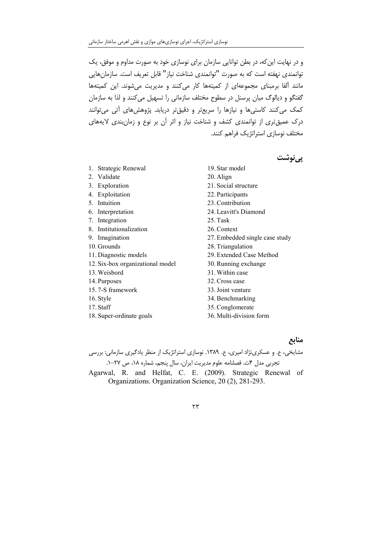و در نهایت این که، در بطن توانایی سازمان برای نوسازی خود به صورت مداوم و موفق، یک توانمندی نهفته است که به صورت "توانمندی شناخت نیاز" قابل تعریف است. سازمانهایی مانند آلفا برمبنای مجموعهای از کمیتهها کار می کنند و مدیریت می شوند. این کمیتهها گفتگو و دیالوگ میان پرسنل در سطوح مختلف سازمانی را تسهیل می کنند و لذا به سازمان کمک میکنند کاستی ها و نیازها را سریعتر و دقیقتر دریابد. پژوهش های آتی می توانند درک عمیق تری از توانمندی کشف و شناخت نیاز و اثر آن بر نوع و زمان بندی لایههای مختلف نوسازی استراتژیک فراهم کنند.

<u>يي نوشت</u>

- 1. Strategic Renewal
- 2. Validate
- 3. Exploration
- 4. Exploitation
- 5. Intuition
- 6. Interpretation
- 7. Integration
- 8. Institutionalization
- 9. Imagination
- 10. Grounds
- 11. Diagnostic models
- 12. Six-box organizational model
- 13. Weisbord
- 14. Purposes
- 15.7-S framework
- 16. Style
- 17. Staff
- 18. Super-ordinate goals
- 19. Star model
- 20. Align
- 21. Social structure
- 22. Participants
- 23. Contribution
- 24. Leavitt's Diamond
- 25. Task
- 26. Context
- 27. Embedded single case study
- 28. Triangulation
- 29. Extended Case Method
- 30. Running exchange
- 31. Within case
- 32. Cross case
- 33. Joint venture
- 34. Benchmarking
- 35. Conglomerate
- 36. Multi-division form

منابع

مشایخی، ع. و عسکرینژاد امیری، ع. ۱۳۸۹. نوسازی استراتژیک از منظر یادگیری سازمانی: بررسی تجربي مدل ۴ت. فصلنامه علوم مديريت ايران، سال پنجم، شماره ١٨، ص ٢٧-١. Agarwal, R. and Helfat, C. E. (2009). Strategic Renewal of Organizations. Organization Science, 20 (2), 281-293.

#### $\tau\tau$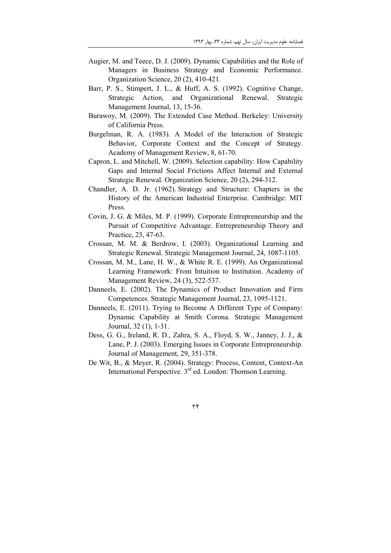- Augier, M. and Teece, D. J. (2009). Dynamic Capabilities and the Role of Managers in Business Strategy and Economic Performance. Organization Science, 20 (2), 410-421.
- Barr, P. S., Stimpert, J. L., & Huff, A. S. (1992). Cognitive Change, Strategic Action, and Organizational Renewal. Strategic Management Journal, 13, 15-36.
- Burawoy, M. (2009). The Extended Case Method. Berkeley: University of California Press.
- Burgelman, R. A. (1983). A Model of the Interaction of Strategic Behavior, Corporate Context and the Concept of Strategy. Academy of Management Review, 8, 61-70.
- Capron, L. and Mitchell, W. (2009). Selection capability: How Capability Gaps and Internal Social Frictions Affect Internal and External Strategic Renewal. Organization Science, 20 (2), 294-312.
- Chandler, A. D. Jr. (1962). Strategy and Structure: Chapters in the History of the American Industrial Enterprise. Cambridge: MIT Press.
- Covin, J. G. & Miles, M. P. (1999). Corporate Entrepreneurship and the Pursuit of Competitive Advantage. Entrepreneurship Theory and Practice, 23, 47-63.
- Crossan, M. M. & Berdrow, I. (2003). Organizational Learning and Strategic Renewal. Strategic Management Journal, 24, 1087-1105.
- Crossan, M. M., Lane, H. W., & White R. E. (1999). An Organizational Learning Framework: From Intuition to Institution. Academy of Management Review, 24 (3), 522-537.
- Danneels, E. (2002). The Dynamics of Product Innovation and Firm Competences. Strategic Management Journal, 23, 1095-1121.
- Danneels, E. (2011). Trying to Become A Different Type of Company: Dynamic Capability at Smith Corona. Strategic Management Journal, 32 (1), 1-31.
- Dess, G. G., Ireland, R. D., Zahra, S. A., Floyd, S. W., Janney, J. J., & Lane, P. J. (2003). Emerging Issues in Corporate Entrepreneurship. Journal of Management, 29, 351-378.
- De Wit, B., & Meyer, R. (2004). Strategy: Process, Content, Context-An International Perspective. 3<sup>rd</sup> ed. London: Thomson Learning.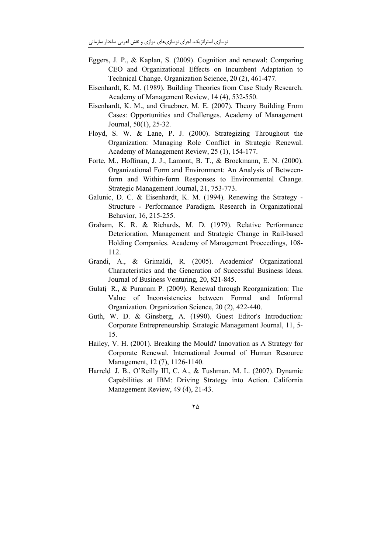- Eggers, J. P., & Kaplan, S. (2009). Cognition and renewal: Comparing CEO and Organizational Effects on Incumbent Adaptation to Technical Change. Organization Science, 20 (2), 461-477.
- Eisenhardt, K. M. (1989). Building Theories from Case Study Research. Academy of Management Review, 14 (4), 532-550.
- Eisenhardt, K. M., and Graebner, M. E. (2007). Theory Building From Cases: Opportunities and Challenges. Academy of Management Journal, 50(1), 25-32.
- Floyd, S. W. & Lane, P. J. (2000). Strategizing Throughout the Organization: Managing Role Conflict in Strategic Renewal. Academy of Management Review, 25 (1), 154-177.
- Forte, M., Hoffman, J. J., Lamont, B. T., & Brockmann, E. N. (2000). Organizational Form and Environment: An Analysis of Betweenform and Within-form Responses to Environmental Change. Strategic Management Journal, 21, 753-773.
- Galunic, D. C. & Eisenhardt, K. M. (1994). Renewing the Strategy -Structure - Performance Paradigm. Research in Organizational Behavior, 16, 215-255.
- Graham, K. R. & Richards, M. D. (1979). Relative Performance Deterioration, Management and Strategic Change in Rail-based Holding Companies. Academy of Management Proceedings, 108- $112.$
- Grandi, A., & Grimaldi, R. (2005). Academics' Organizational Characteristics and the Generation of Successful Business Ideas. Journal of Business Venturing, 20, 821-845.
- Gulati R., & Puranam P. (2009). Renewal through Reorganization: The Value of Inconsistencies between Formal and Informal Organization. Organization Science, 20 (2), 422-440.
- Guth, W. D. & Ginsberg, A. (1990). Guest Editor's Introduction: Corporate Entrepreneurship. Strategic Management Journal, 11, 5-15.
- Hailey, V. H. (2001). Breaking the Mould? Innovation as A Strategy for Corporate Renewal. International Journal of Human Resource Management, 12 (7), 1126-1140.
- Harreld J. B., O'Reilly III, C. A., & Tushman. M. L. (2007). Dynamic Capabilities at IBM: Driving Strategy into Action. California Management Review, 49 (4), 21-43.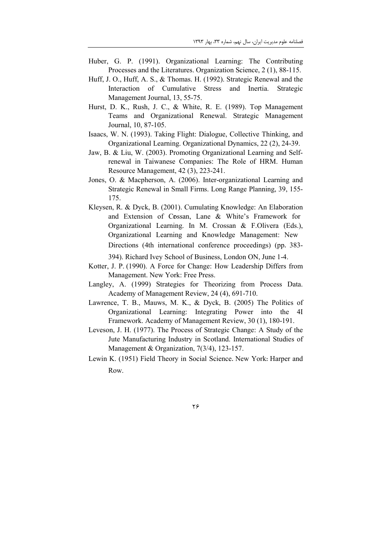- Huber, G. P. (1991). Organizational Learning: The Contributing Processes and the Literatures. Organization Science, 2(1), 88-115.
- Huff, J. O., Huff, A. S., & Thomas. H. (1992). Strategic Renewal and the Interaction of Cumulative Stress and Inertia. Strategic Management Journal, 13, 55-75.
- Hurst, D. K., Rush, J. C., & White, R. E. (1989). Top Management Teams and Organizational Renewal. Strategic Management Journal, 10, 87-105.
- Isaacs, W. N. (1993). Taking Flight: Dialogue. Collective Thinking. and Organizational Learning. Organizational Dynamics, 22 (2), 24-39.
- Jaw, B. & Liu, W. (2003). Promoting Organizational Learning and Selfrenewal in Taiwanese Companies: The Role of HRM. Human Resource Management, 42 (3), 223-241.
- Jones, O. & Macpherson, A. (2006). Inter-organizational Learning and Strategic Renewal in Small Firms. Long Range Planning, 39, 155-175.
- Kleysen, R. & Dyck, B. (2001). Cumulating Knowledge: An Elaboration and Extension of Cossan, Lane & White's Framework for Organizational Learning. In M. Crossan & F.Olivera (Eds.), Organizational Learning and Knowledge Management: New Directions (4th international conference proceedings) (pp. 383-

394). Richard Ivey School of Business, London ON, June 1-4.

- Kotter, J. P. (1990). A Force for Change: How Leadership Differs from Management. New York: Free Press.
- Langley, A. (1999) Strategies for Theorizing from Process Data. Academy of Management Review, 24 (4), 691-710.
- Lawrence, T. B., Mauws, M. K., & Dyck, B. (2005) The Politics of Organizational Learning: Integrating Power into the 4I Framework. Academy of Management Review, 30 (1), 180-191.
- Leveson, J. H. (1977). The Process of Strategic Change: A Study of the Jute Manufacturing Industry in Scotland. International Studies of Management & Organization, 7(3/4), 123-157.
- Lewin K. (1951) Field Theory in Social Science. New York: Harper and Row.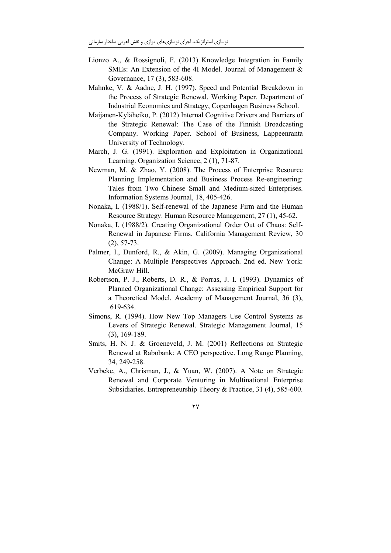- Lionzo A., & Rossignoli, F. (2013) Knowledge Integration in Family SMEs: An Extension of the 4I Model. Journal of Management  $\&$ Governance, 17 (3), 583-608.
- Mahnke, V. & Aadne, J. H. (1997). Speed and Potential Breakdown in the Process of Strategic Renewal. Working Paper. Department of Industrial Economics and Strategy, Copenhagen Business School.
- Maijanen-Kyläheiko, P. (2012) Internal Cognitive Drivers and Barriers of the Strategic Renewal: The Case of the Finnish Broadcasting Company. Working Paper. School of Business, Lappeenranta University of Technology.
- March, J. G. (1991). Exploration and Exploitation in Organizational Learning. Organization Science, 2(1), 71-87.
- Newman, M. & Zhao, Y. (2008). The Process of Enterprise Resource Planning Implementation and Business Process Re-engineering: Tales from Two Chinese Small and Medium-sized Enterprises. Information Systems Journal, 18, 405-426.
- Nonaka, I. (1988/1). Self-renewal of the Japanese Firm and the Human Resource Strategy. Human Resource Management, 27 (1), 45-62.
- Nonaka, I. (1988/2). Creating Organizational Order Out of Chaos: Self-Renewal in Japanese Firms. California Management Review, 30  $(2)$ , 57-73.
- Palmer, I., Dunford, R., & Akin, G. (2009). Managing Organizational Change: A Multiple Perspectives Approach. 2nd ed. New York: McGraw Hill.
- Robertson, P. J., Roberts, D. R., & Porras, J. I. (1993). Dynamics of Planned Organizational Change: Assessing Empirical Support for a Theoretical Model. Academy of Management Journal, 36 (3), 619-634.
- Simons, R. (1994). How New Top Managers Use Control Systems as Levers of Strategic Renewal. Strategic Management Journal, 15  $(3)$ , 169-189.
- Smits, H. N. J. & Groeneveld, J. M. (2001) Reflections on Strategic Renewal at Rabobank: A CEO perspective. Long Range Planning, 34, 249-258.
- Verbeke, A., Chrisman, J., & Yuan, W. (2007). A Note on Strategic Renewal and Corporate Venturing in Multinational Enterprise Subsidiaries. Entrepreneurship Theory & Practice, 31 (4), 585-600.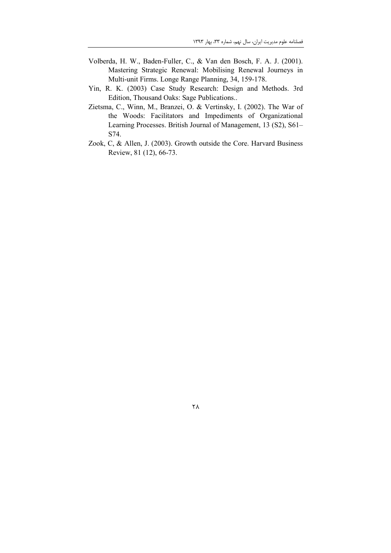- Volberda, H. W., Baden-Fuller, C., & Van den Bosch, F. A. J. (2001). Mastering Strategic Renewal: Mobilising Renewal Journeys in Multi-unit Firms. Longe Range Planning, 34, 159-178.
- Yin, R. K. (2003) Case Study Research: Design and Methods. 3rd Edition, Thousand Oaks: Sage Publications...
- Zietsma, C., Winn, M., Branzei, O. & Vertinsky, I. (2002). The War of the Woods: Facilitators and Impediments of Organizational Learning Processes. British Journal of Management, 13 (S2), S61-S74.
- Zook, C, & Allen, J. (2003). Growth outside the Core. Harvard Business Review, 81 (12), 66-73.

٢٨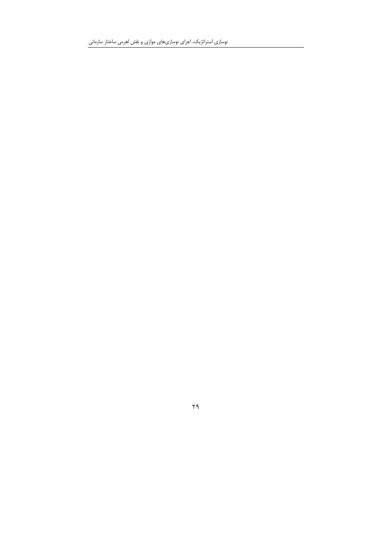نوسازی استراتژیک، اجرای نوسازیهای موازی و نقش اهرمی ساختار سازمانی

 $\mathbf{y}$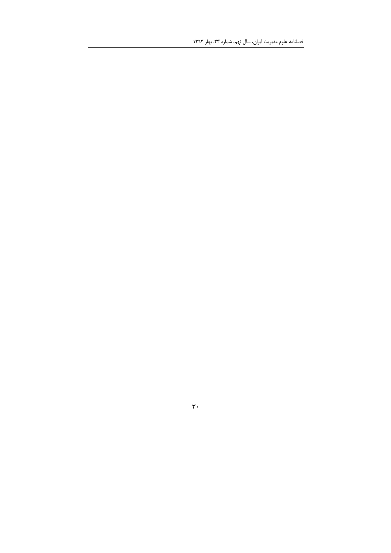فصلنامه علوم مدیریت ایران، سال نهم، شماره ٣٣، بهار ١٣٩٣

 $\mathbf{r}$ .